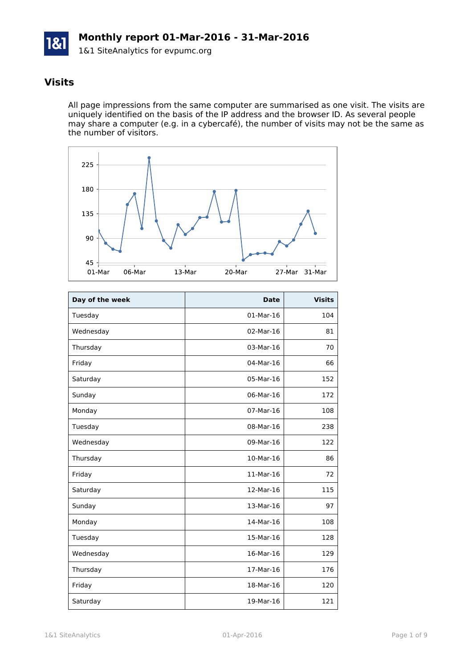

## **Visits**

All page impressions from the same computer are summarised as one visit. The visits are uniquely identified on the basis of the IP address and the browser ID. As several people may share a computer (e.g. in a cybercafé), the number of visits may not be the same as the number of visitors.



| Day of the week | <b>Date</b> | <b>Visits</b> |
|-----------------|-------------|---------------|
| Tuesday         | $01-Mar-16$ | 104           |
| Wednesday       | 02-Mar-16   | 81            |
| Thursday        | 03-Mar-16   | 70            |
| Friday          | 04-Mar-16   | 66            |
| Saturday        | 05-Mar-16   | 152           |
| Sunday          | 06-Mar-16   | 172           |
| Monday          | 07-Mar-16   | 108           |
| Tuesday         | 08-Mar-16   | 238           |
| Wednesday       | 09-Mar-16   | 122           |
| Thursday        | 10-Mar-16   | 86            |
| Friday          | 11-Mar-16   | 72            |
| Saturday        | 12-Mar-16   | 115           |
| Sunday          | 13-Mar-16   | 97            |
| Monday          | 14-Mar-16   | 108           |
| Tuesday         | 15-Mar-16   | 128           |
| Wednesday       | 16-Mar-16   | 129           |
| Thursday        | 17-Mar-16   | 176           |
| Friday          | 18-Mar-16   | 120           |
| Saturday        | 19-Mar-16   | 121           |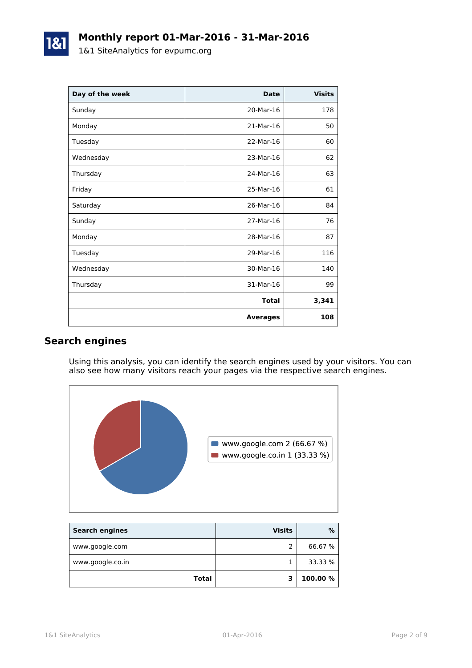| Day of the week | <b>Date</b>     | <b>Visits</b> |
|-----------------|-----------------|---------------|
| Sunday          | 20-Mar-16       | 178           |
| Monday          | 21-Mar-16       | 50            |
| Tuesday         | 22-Mar-16       | 60            |
| Wednesday       | 23-Mar-16       | 62            |
| Thursday        | 24-Mar-16       | 63            |
| Friday          | 25-Mar-16       | 61            |
| Saturday        | 26-Mar-16       | 84            |
| Sunday          | 27-Mar-16       | 76            |
| Monday          | 28-Mar-16       | 87            |
| Tuesday         | 29-Mar-16       | 116           |
| Wednesday       | 30-Mar-16       | 140           |
| Thursday        | 31-Mar-16       | 99            |
|                 | <b>Total</b>    | 3,341         |
|                 | <b>Averages</b> | 108           |

### **Search engines**

Using this analysis, you can identify the search engines used by your visitors. You can also see how many visitors reach your pages via the respective search engines.



| <b>Search engines</b> | <b>Visits</b> | %        |
|-----------------------|---------------|----------|
| www.google.com        |               | 66.67 %  |
| www.google.co.in      |               | 33.33 %  |
| Total                 |               | 100.00 % |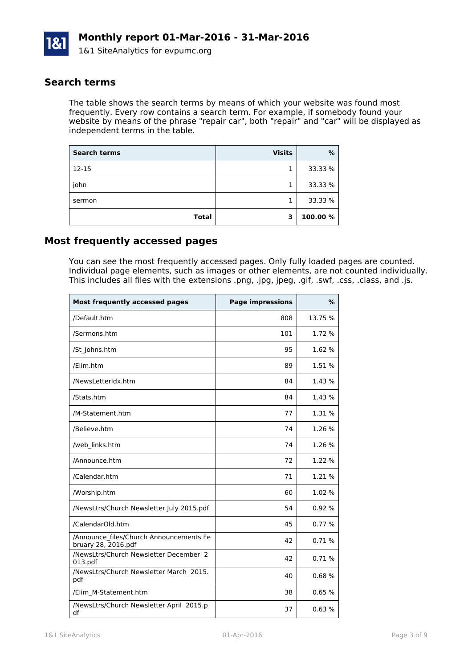

#### **Search terms**

The table shows the search terms by means of which your website was found most frequently. Every row contains a search term. For example, if somebody found your website by means of the phrase "repair car", both "repair" and "car" will be displayed as independent terms in the table.

| <b>Search terms</b> | <b>Visits</b> | %       |
|---------------------|---------------|---------|
| $12 - 15$           |               | 33.33 % |
| john                |               | 33.33 % |
| sermon              |               | 33.33 % |
| <b>Total</b>        | з             | 100.00% |

#### **Most frequently accessed pages**

You can see the most frequently accessed pages. Only fully loaded pages are counted. Individual page elements, such as images or other elements, are not counted individually. This includes all files with the extensions .png, .jpg, jpeg, .gif, .swf, .css, .class, and .js.

| <b>Most frequently accessed pages</b>                          | <b>Page impressions</b> | $\%$    |
|----------------------------------------------------------------|-------------------------|---------|
| /Default.htm                                                   | 808                     | 13.75 % |
| /Sermons.htm                                                   | 101                     | 1.72 %  |
| /St Johns.htm                                                  | 95                      | 1.62 %  |
| /Elim.htm                                                      | 89                      | 1.51 %  |
| /NewsLetterIdx.htm                                             | 84                      | 1.43 %  |
| /Stats.htm                                                     | 84                      | 1.43%   |
| /M-Statement.htm                                               | 77                      | 1.31%   |
| /Believe.htm                                                   | 74                      | 1.26 %  |
| /web links.htm                                                 | 74                      | 1.26%   |
| /Announce.htm                                                  | 72                      | 1.22 %  |
| /Calendar.htm                                                  | 71                      | 1.21 %  |
| /Worship.htm                                                   | 60                      | 1.02 %  |
| /NewsLtrs/Church Newsletter July 2015.pdf                      | 54                      | 0.92%   |
| /CalendarOld.htm                                               | 45                      | 0.77%   |
| /Announce files/Church Announcements Fe<br>bruary 28, 2016.pdf | 42                      | 0.71%   |
| /NewsLtrs/Church Newsletter December 2<br>013.pdf              | 42                      | 0.71%   |
| /NewsLtrs/Church Newsletter March 2015.<br>pdf                 | 40                      | 0.68%   |
| /Elim M-Statement.htm                                          | 38                      | 0.65%   |
| /NewsLtrs/Church Newsletter April 2015.p<br>df                 | 37                      | 0.63%   |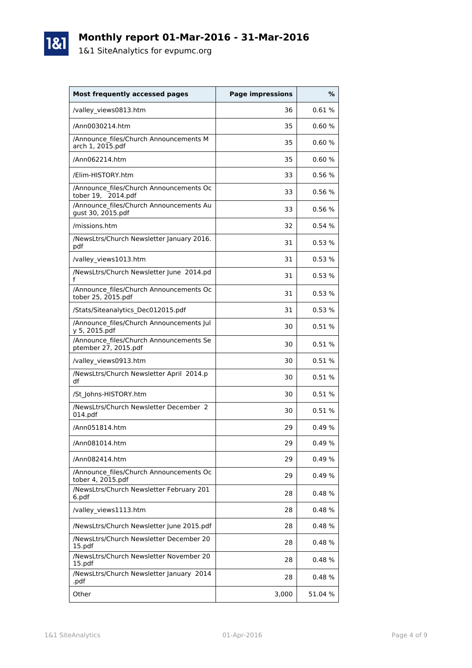# **Monthly report 01-Mar-2016 - 31-Mar-2016**

1&1 SiteAnalytics for evpumc.org

1&1

| <b>Most frequently accessed pages</b>                                         | <b>Page impressions</b> | %       |
|-------------------------------------------------------------------------------|-------------------------|---------|
| /valley_views0813.htm                                                         | 36                      | 0.61%   |
| /Ann0030214.htm                                                               | 35                      | 0.60%   |
| /Announce files/Church Announcements M<br>arch 1, 2015.pdf                    | 35                      | 0.60%   |
| /Ann062214.htm                                                                | 35                      | 0.60%   |
| /Elim-HISTORY.htm                                                             | 33                      | 0.56%   |
| /Announce files/Church Announcements Oc<br>tober 19, 2014.pdf                 | 33                      | 0.56%   |
| /Announce files/Church Announcements Au<br>gust 30, 2015.pdf                  | 33                      | 0.56%   |
| /missions.htm                                                                 | 32                      | 0.54%   |
| /NewsLtrs/Church Newsletter January 2016.<br>pdf                              | 31                      | 0.53%   |
| /valley_views1013.htm                                                         | 31                      | 0.53%   |
| /NewsLtrs/Church Newsletter June 2014.pd<br>f                                 | 31                      | 0.53%   |
| /Announce files/Church Announcements Oc<br>tober 25, 2015.pdf                 | 31                      | 0.53%   |
| /Stats/Siteanalytics Dec012015.pdf                                            | 31                      | 0.53%   |
| /Announce_files/Church Announcements Jul<br>y 5, 2015.pdf                     | 30                      | 0.51%   |
| /Announce files/Church Announcements Se<br>ptember $2\overline{7}$ , 2015.pdf | 30                      | 0.51%   |
| /valley_views0913.htm                                                         | 30                      | 0.51%   |
| /NewsLtrs/Church Newsletter April 2014.p<br>df                                | 30                      | 0.51%   |
| /St Johns-HISTORY.htm                                                         | 30                      | 0.51%   |
| /NewsLtrs/Church Newsletter December 2<br>014.pdf                             | 30                      | 0.51%   |
| /Ann051814.htm                                                                | 29                      | 0.49%   |
| /Ann081014.htm                                                                | 29                      | 0.49 %  |
| /Ann082414.htm                                                                | 29                      | 0.49%   |
| /Announce files/Church Announcements Oc<br>tober 4, 2015.pdf                  | 29                      | 0.49%   |
| /NewsLtrs/Church Newsletter February 201<br>6.pdf                             | 28                      | 0.48%   |
| /valley views1113.htm                                                         | 28                      | 0.48%   |
| /NewsLtrs/Church Newsletter June 2015.pdf                                     | 28                      | 0.48%   |
| /NewsLtrs/Church Newsletter December 20<br>15.pdf                             | 28                      | 0.48%   |
| /NewsLtrs/Church Newsletter November 20<br>15.pdf                             | 28                      | 0.48%   |
| /NewsLtrs/Church Newsletter January 2014<br>.pdf                              | 28                      | 0.48%   |
| Other                                                                         | 3,000                   | 51.04 % |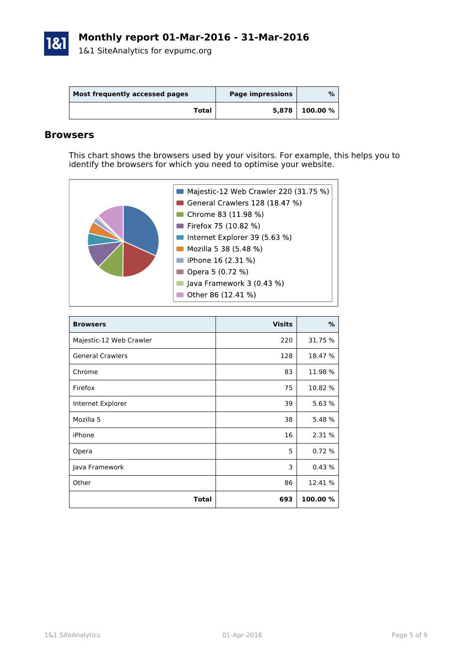

| Most frequently accessed pages | Page impressions | %       |
|--------------------------------|------------------|---------|
| Total                          | 5,878            | 100.00% |

#### **Browsers**

This chart shows the browsers used by your visitors. For example, this helps you to identify the browsers for which you need to optimise your website.



| <b>Browsers</b>         | <b>Visits</b> | %        |
|-------------------------|---------------|----------|
| Majestic-12 Web Crawler | 220           | 31.75 %  |
| <b>General Crawlers</b> | 128           | 18.47 %  |
| Chrome                  | 83            | 11.98 %  |
| Firefox                 | 75            | 10.82 %  |
| Internet Explorer       | 39            | 5.63 %   |
| Mozilla 5               | 38            | 5.48 %   |
| iPhone                  | 16            | 2.31 %   |
| Opera                   | 5             | 0.72%    |
| Java Framework          | 3             | 0.43%    |
| Other                   | 86            | 12.41 %  |
| <b>Total</b>            | 693           | 100.00 % |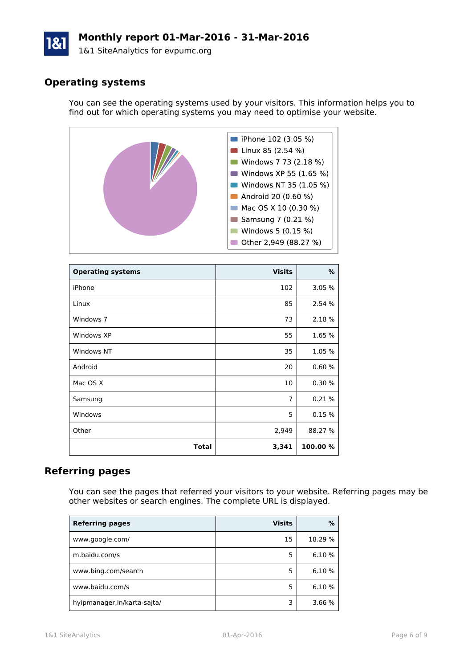# **Monthly report 01-Mar-2016 - 31-Mar-2016**

1&1 SiteAnalytics for evpumc.org

## **Operating systems**

You can see the operating systems used by your visitors. This information helps you to find out for which operating systems you may need to optimise your website.



| <b>Operating systems</b> | <b>Visits</b>  | %        |
|--------------------------|----------------|----------|
| iPhone                   | 102            | 3.05 %   |
| Linux                    | 85             | 2.54 %   |
| Windows 7                | 73             | 2.18 %   |
| Windows XP               | 55             | 1.65 %   |
| Windows NT               | 35             | 1.05 %   |
| Android                  | 20             | 0.60%    |
| Mac OS X                 | 10             | 0.30%    |
| Samsung                  | $\overline{7}$ | 0.21%    |
| Windows                  | 5              | 0.15%    |
| Other                    | 2,949          | 88.27 %  |
| <b>Total</b>             | 3,341          | 100.00 % |

#### **Referring pages**

You can see the pages that referred your visitors to your website. Referring pages may be other websites or search engines. The complete URL is displayed.

| <b>Referring pages</b>      | <b>Visits</b> | %       |
|-----------------------------|---------------|---------|
| www.google.com/             | 15            | 18.29 % |
| m.baidu.com/s               | 5             | 6.10 %  |
| www.bing.com/search         | 5             | 6.10 %  |
| www.baidu.com/s             | 5             | 6.10 %  |
| hyipmanager.in/karta-sajta/ | 3             | 3.66 %  |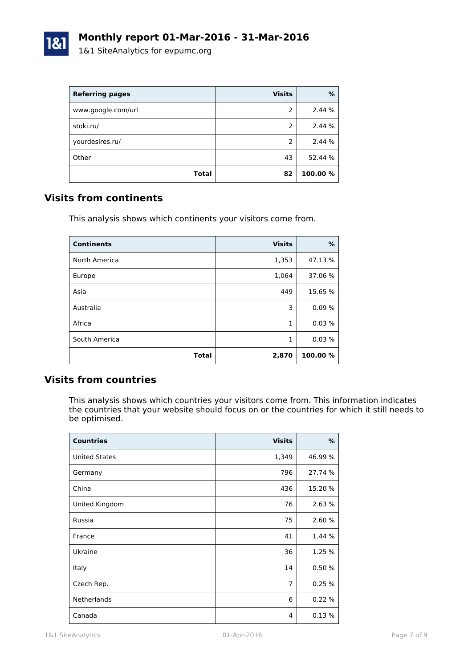

| <b>Referring pages</b> | <b>Visits</b> | %        |
|------------------------|---------------|----------|
| www.google.com/url     | 2             | 2.44 %   |
| stoki.ru/              | 2             | 2.44 %   |
| yourdesires.ru/        | 2             | 2.44 %   |
| Other                  | 43            | 52.44 %  |
| <b>Total</b>           | 82            | 100.00 % |

#### **Visits from continents**

This analysis shows which continents your visitors come from.

| <b>Continents</b> | <b>Visits</b> | %        |
|-------------------|---------------|----------|
| North America     | 1,353         | 47.13 %  |
| Europe            | 1,064         | 37.06 %  |
| Asia              | 449           | 15.65 %  |
| Australia         | 3             | 0.09%    |
| Africa            | 1             | 0.03%    |
| South America     | 1             | 0.03%    |
| <b>Total</b>      | 2,870         | 100.00 % |

#### **Visits from countries**

This analysis shows which countries your visitors come from. This information indicates the countries that your website should focus on or the countries for which it still needs to be optimised.

| <b>Countries</b>     | <b>Visits</b>  | $\%$    |
|----------------------|----------------|---------|
| <b>United States</b> | 1,349          | 46.99 % |
| Germany              | 796            | 27.74 % |
| China                | 436            | 15.20 % |
| United Kingdom       | 76             | 2.63 %  |
| Russia               | 75             | 2.60 %  |
| France               | 41             | 1.44 %  |
| Ukraine              | 36             | 1.25 %  |
| Italy                | 14             | 0.50%   |
| Czech Rep.           | $\overline{7}$ | 0.25%   |
| <b>Netherlands</b>   | 6              | 0.22%   |
| Canada               | 4              | 0.13%   |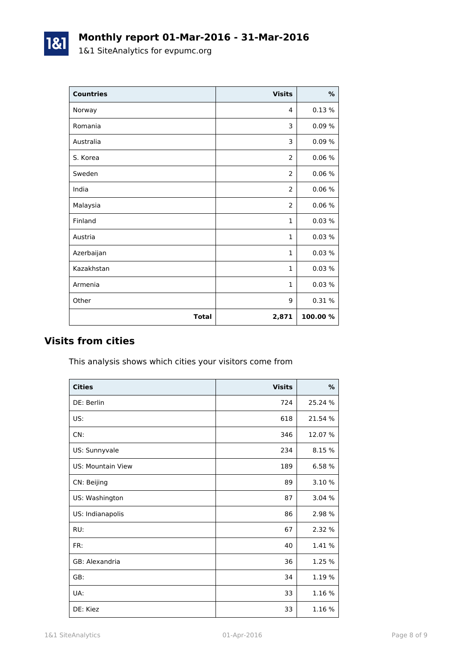1&1

| <b>Countries</b> | <b>Visits</b>  | $\%$    |
|------------------|----------------|---------|
| Norway           | 4              | 0.13%   |
| Romania          | 3              | 0.09%   |
| Australia        | 3              | 0.09%   |
| S. Korea         | 2              | 0.06%   |
| Sweden           | 2              | 0.06%   |
| India            | 2              | 0.06%   |
| Malaysia         | $\overline{2}$ | 0.06%   |
| Finland          | $\mathbf{1}$   | 0.03%   |
| Austria          | $\mathbf{1}$   | 0.03%   |
| Azerbaijan       | $\mathbf{1}$   | 0.03%   |
| Kazakhstan       | $\mathbf{1}$   | 0.03%   |
| Armenia          | $\mathbf{1}$   | 0.03%   |
| Other            | 9              | 0.31 %  |
| <b>Total</b>     | 2,871          | 100.00% |

### **Visits from cities**

This analysis shows which cities your visitors come from

| <b>Cities</b>            | <b>Visits</b> | %       |
|--------------------------|---------------|---------|
| DE: Berlin               | 724           | 25.24 % |
| US:                      | 618           | 21.54 % |
| CN:                      | 346           | 12.07 % |
| US: Sunnyvale            | 234           | 8.15 %  |
| <b>US: Mountain View</b> | 189           | 6.58 %  |
| CN: Beijing              | 89            | 3.10 %  |
| US: Washington           | 87            | 3.04%   |
| US: Indianapolis         | 86            | 2.98 %  |
| RU:                      | 67            | 2.32 %  |
| FR:                      | 40            | 1.41 %  |
| GB: Alexandria           | 36            | 1.25 %  |
| GB:                      | 34            | 1.19 %  |
| UA:                      | 33            | 1.16 %  |
| DE: Kiez                 | 33            | 1.16 %  |